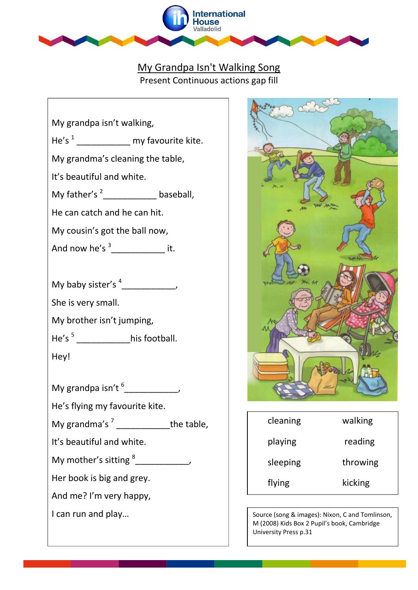

## My Grandpa Isn't Walking Song Present Continuous actions gap fill

|      | My grandpa isn't walking,                     |            |
|------|-----------------------------------------------|------------|
|      | He's $\frac{1}{1}$ my favourite kite.         |            |
|      | My grandma's cleaning the table,              |            |
|      | It's beautiful and white.                     |            |
|      | My father's $2$ ______________ baseball,      |            |
|      | He can catch and he can hit.                  |            |
|      | My cousin's got the ball now,                 |            |
|      | And now he's $\frac{3}{2}$ it.                |            |
|      |                                               |            |
|      |                                               |            |
|      | She is very small.                            |            |
|      | My brother isn't jumping,                     |            |
|      | He's <sup>5</sup> ______________his football. |            |
| Hey! |                                               |            |
|      |                                               |            |
|      |                                               |            |
|      | He's flying my favourite kite.                |            |
|      | My grandma's <sup>7</sup>                     | the table, |
|      | It's beautiful and white.                     |            |
|      | My mother's sitting <sup>8</sup>              |            |
|      | Her book is big and grey.                     |            |
|      | And me? I'm very happy,                       |            |
|      | I can run and play                            |            |
|      |                                               |            |



| cleaning | walking  |
|----------|----------|
| playing  | reading  |
| sleeping | throwing |
| flying   | kicking  |

Source (song & images): Nixon, C and Tomlinson, M (2008) Kids Box 2 Pupil's book, Cambridge University Press p.31